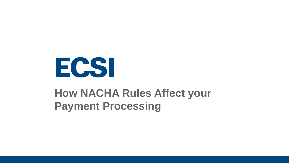

#### **How NACHA Rules Affect your Payment Processing**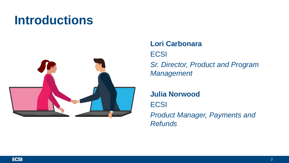### **Introductions**



#### **Lori Carbonara ECSI** *Sr. Director, Product and Program Management*

#### **Julia Norwood**

**ECSI** 

*Product Manager, Payments and Refunds*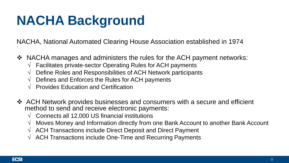# **NACHA Background**

NACHA, National Automated Clearing House Association established in 1974

- ❖ NACHA manages and administers the rules for the ACH payment networks:
	- $\sqrt{\phantom{a}}$  Facilitates private-sector Operating Rules for ACH payments
	- $\sqrt{ }$  Define Roles and Responsibilities of ACH Network participants
	- $\sqrt{ }$  Defines and Enforces the Rules for ACH payments
	- $\sqrt{ }$  Provides Education and Certification
- ◆ ACH Network provides businesses and consumers with a secure and efficient method to send and receive electronic payments:
	- $\sqrt{ }$  Connects all 12,000 US financial institutions
	- $\sqrt{ }$  Moves Money and Information directly from one Bank Account to another Bank Account
	- $\sqrt{ }$  ACH Transactions include Direct Deposit and Direct Payment
	- $\sqrt{ }$  ACH Transactions include One-Time and Recurring Payments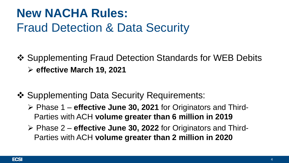#### **New NACHA Rules:** Fraud Detection & Data Security

- ❖ Supplementing Fraud Detection Standards for WEB Debits **effective March 19, 2021**
- ❖ Supplementing Data Security Requirements:
	- Phase 1 **effective June 30, 2021** for Originators and Third-Parties with ACH **volume greater than 6 million in 2019**
	- Phase 2 **effective June 30, 2022** for Originators and Third-Parties with ACH **volume greater than 2 million in 2020**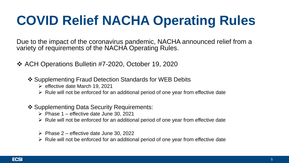# **COVID Relief NACHA Operating Rules**

Due to the impact of the coronavirus pandemic, NACHA announced relief from a variety of requirements of the NACHA Operating Rules.

- ACH Operations Bulletin #7-2020, October 19, 2020
	- ❖ Supplementing Fraud Detection Standards for WEB Debits
		- $\triangleright$  effective date March 19, 2021
		- $\triangleright$  Rule will not be enforced for an additional period of one year from effective date

#### ❖ Supplementing Data Security Requirements:

- $\triangleright$  Phase 1 effective date June 30, 2021
- $\triangleright$  Rule will not be enforced for an additional period of one year from effective date
- $\triangleright$  Phase 2 effective date June 30, 2022
- $\triangleright$  Rule will not be enforced for an additional period of one year from effective date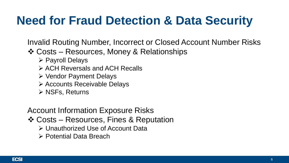### **Need for Fraud Detection & Data Security**

Invalid Routing Number, Incorrect or Closed Account Number Risks

- ❖ Costs Resources, Money & Relationships
	- **▶ Payroll Delays**
	- ACH Reversals and ACH Recalls
	- Vendor Payment Delays
	- Accounts Receivable Delays
	- $\triangleright$  NSFs, Returns

#### Account Information Exposure Risks

- Costs Resources, Fines & Reputation
	- Unauthorized Use of Account Data
	- Potential Data Breach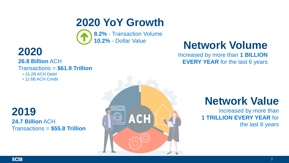#### **2020 YoY Growth**

**8.2%** - Transaction Volume



**26.8 Billion** ACH Transactions = **\$61.9 Trillion**

• 15.2B ACH Debit

• 11.6B ACH Credit

**2019 24.7 Billion** ACH Transactions = **\$55.8 Trillion**



### **10.2%** - Dollar Value **Network Volume**

Increased by more than **1 BILLION EVERY YEAR** for the last 6 years

#### **Network Value**

increased by more than **1 TRILLION EVERY YEAR** for

the last 8 years

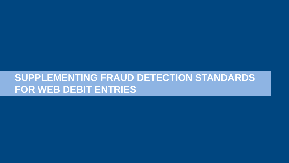#### **SUPPLEMENTING FRAUD DETECTION STANDARDS FOR WEB DEBIT ENTRIES**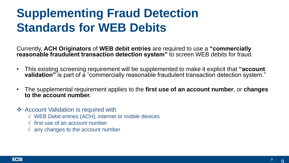### **Supplementing Fraud Detection Standards for WEB Debits**

Currently, **ACH Originators** of **WEB debit entries** are required to use a **"commercially reasonable fraudulent transaction detection system"** to screen WEB debits for fraud.

- This existing screening requirement will be supplemented to make it explicit that **"account validation**" is part of a "commercially reasonable fraudulent transaction detection system."
- The supplemental requirement applies to the **first use of an account number**, or **changes to the account number**.
- ❖ Account Validation is required with
	- √ WEB Debit entries (ACH), internet or mobile devices
	- $\sqrt{\ }$  first use of an account number
	- $\sqrt{ }$  any changes to the account number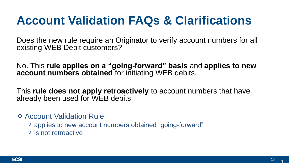Does the new rule require an Originator to verify account numbers for all existing WEB Debit customers?

No. This **rule applies on a "going-forward" basis** and **applies to new account numbers obtained** for initiating WEB debits.

This **rule does not apply retroactively** to account numbers that have already been used for WEB debits.

**❖ Account Validation Rule** 

 $\sqrt{a}$  applies to new account numbers obtained "going-forward"

 $\sqrt{\ }$  is not retroactive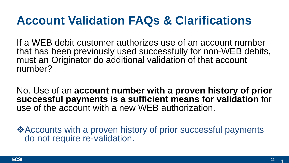If a WEB debit customer authorizes use of an account number that has been previously used successfully for non-WEB debits, must an Originator do additional validation of that account number?

No. Use of an **account number with a proven history of prior successful payments is a sufficient means for validation** for use of the account with a new WEB authorization.

**\*Accounts with a proven history of prior successful payments** do not require re-validation.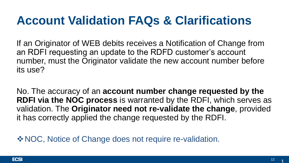If an Originator of WEB debits receives a Notification of Change from an RDFI requesting an update to the RDFD customer's account number, must the Originator validate the new account number before its use?

No. The accuracy of an **account number change requested by the RDFI via the NOC process** is warranted by the RDFI, which serves as validation. The **Originator need not re-validate the change**, provided it has correctly applied the change requested by the RDFI.

◆ NOC, Notice of Change does not require re-validation.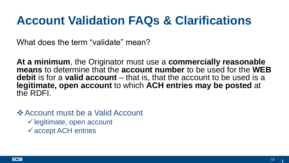What does the term "validate" mean?

**At a minimum**, the Originator must use a **commercially reasonable means** to determine that the **account number** to be used for the **WEB debit** is for a **valid account** – that is, that the account to be used is a **legitimate, open account** to which **ACH entries may be posted** at the RDFI.

**Example 25 Account must be a Valid Account** 

 $\checkmark$  legitimate, open account

accept ACH entries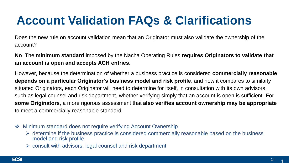Does the new rule on account validation mean that an Originator must also validate the ownership of the account?

**No**. The **minimum standard** imposed by the Nacha Operating Rules **requires Originators to validate that an account is open and accepts ACH entries**.

However, because the determination of whether a business practice is considered **commercially reasonable depends on a particular Originator's business model and risk profile**, and how it compares to similarly situated Originators, each Originator will need to determine for itself, in consultation with its own advisors, such as legal counsel and risk department, whether verifying simply that an account is open is sufficient. **For some Originators**, a more rigorous assessment that **also verifies account ownership may be appropriate** to meet a commercially reasonable standard.

- **❖** Minimum standard does not require verifying Account Ownership
	- $\triangleright$  determine if the business practice is considered commercially reasonable based on the business model and risk profile
	- $\triangleright$  consult with advisors, legal counsel and risk department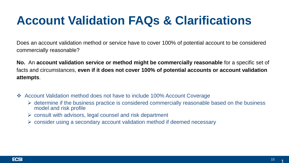Does an account validation method or service have to cover 100% of potential account to be considered commercially reasonable?

**No.** An **account validation service or method might be commercially reasonable** for a specific set of facts and circumstances, **even if it does not cover 100% of potential accounts or account validation attempts**.

- Account Validation method does not have to include 100% Account Coverage
	- $\triangleright$  determine if the business practice is considered commercially reasonable based on the business model and risk profile
	- $\triangleright$  consult with advisors, legal counsel and risk department
	- $\triangleright$  consider using a secondary account validation method if deemed necessary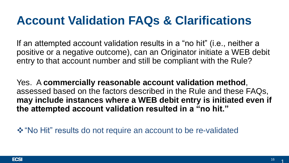If an attempted account validation results in a "no hit" (i.e., neither a positive or a negative outcome), can an Originator initiate a WEB debit entry to that account number and still be compliant with the Rule?

Yes. A **commercially reasonable account validation method**, assessed based on the factors described in the Rule and these FAQs, **may include instances where a WEB debit entry is initiated even if the attempted account validation resulted in a "no hit."**

**\*** "No Hit" results do not require an account to be re-validated

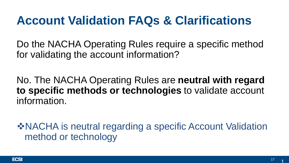Do the NACHA Operating Rules require a specific method for validating the account information?

No. The NACHA Operating Rules are **neutral with regard to specific methods or technologies** to validate account information.

NACHA is neutral regarding a specific Account Validation method or technology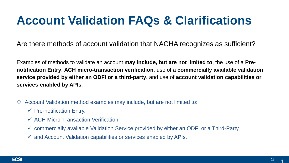Are there methods of account validation that NACHA recognizes as sufficient?

Examples of methods to validate an account **may include, but are not limited to**, the use of a **Prenotification Entry**, **ACH micro-transaction verification**, use of a **commercially available validation service provided by either an ODFI or a third-party**, and use of **account validation capabilities or services enabled by APIs**.

- Account Validation method examples may include, but are not limited to:
	- $\checkmark$  Pre-notification Entry,
	- $\checkmark$  ACH Micro-Transaction Verification,
	- $\checkmark$  commercially available Validation Service provided by either an ODFI or a Third-Party,
	- $\checkmark$  and Account Validation capabilities or services enabled by APIs.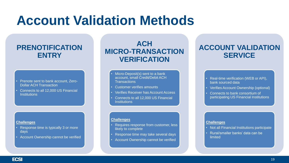### **Account Validation Methods**

#### **PRENOTIFICATION ENTRY**

- Prenote sent to bank account, Zero-Dollar ACH Transaction
- Connects to all 12,000 US Financial **Institutions**

#### **Challenges**

- Response time is typically 3 or more days
- **Account Ownership cannot be verified**

#### **ACH MICRO-TRANSACTION VERIFICATION**

- Micro-Deposit(s) sent to a bank account, small Credit/Debit ACH **Transactions**
- Customer verifies amounts
- Verifies Receiver has Account Access
- Connects to all 12,000 US Financial **Institutions**

#### **Challenges**

- Requires response from customer, less likely to complete
- Response time may take several days
- Account Ownership cannot be verified

#### **ACCOUNT VALIDATION SERVICE**

- Real-time verification (WEB or API), bank sourced data
- Verifies Account Ownership (optional)
- Connects to bank consortium of participating US Financial Institutions

#### **Challenges**

- Not all Financial Institutions participate
- Rural/smaller banks' data can be limited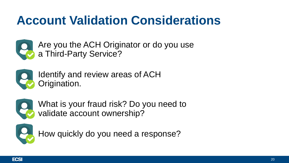### **Account Validation Considerations**



Are you the ACH Originator or do you use a Third-Party Service?



Identify and review areas of ACH Origination.



What is your fraud risk? Do you need to validate account ownership?



How quickly do you need a response?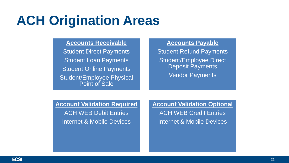### **ACH Origination Areas**

#### **Accounts Receivable**

Student Direct Payments Student Loan Payments Student Online Payments Student/Employee Physical Point of Sale

#### **Accounts Payable**

Student Refund Payments Student/Employee Direct Deposit Payments Vendor Payments

#### **Account Validation Required**

ACH WEB Debit Entries Internet & Mobile Devices

#### **Account Validation Optional**

ACH WEB Credit Entries Internet & Mobile Devices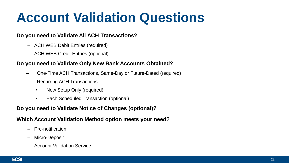## **Account Validation Questions**

#### **Do you need to Validate All ACH Transactions?**

- ACH WEB Debit Entries (required)
- ACH WEB Credit Entries (optional)

#### **Do you need to Validate Only New Bank Accounts Obtained?**

- One-Time ACH Transactions, Same-Day or Future-Dated (required)
- Recurring ACH Transactions
	- New Setup Only (required)
	- Each Scheduled Transaction (optional)

#### **Do you need to Validate Notice of Changes (optional)?**

#### **Which Account Validation Method option meets your need?**

- Pre-notification
- Micro-Deposit
- Account Validation Service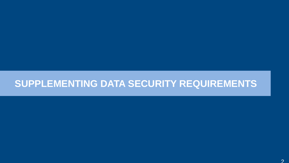#### **SUPPLEMENTING DATA SECURITY REQUIREMENTS**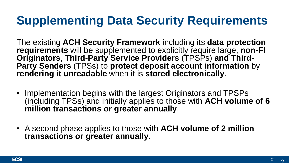### **Supplementing Data Security Requirements**

The existing **ACH Security Framework** including its **data protection requirements** will be supplemented to explicitly require large, **non-FI Originators**, **Third-Party Service Providers** (TPSPs) **and Third-Party Senders** (TPSs) to **protect deposit account information** by **rendering it unreadable** when it is **stored electronically**.

- Implementation begins with the largest Originators and TPSPs (including TPSs) and initially applies to those with **ACH volume of 6 million transactions or greater annually**.
- A second phase applies to those with **ACH volume of 2 million transactions or greater annually**.

 $\overline{\mathcal{P}}$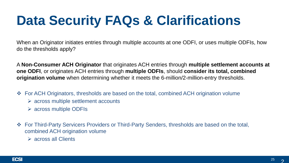When an Originator initiates entries through multiple accounts at one ODFI, or uses multiple ODFIs, how do the thresholds apply?

A **Non-Consumer ACH Originator** that originates ACH entries through **multiple settlement accounts at one ODFI**, or originates ACH entries through **multiple ODFIs**, should **consider its total, combined origination volume** when determining whether it meets the 6-million/2-million-entry thresholds.

- **EXECU From ACH Originators, thresholds are based on the total, combined ACH origination volume** 
	- $\triangleright$  across multiple settlement accounts
	- $\triangleright$  across multiple ODFIs
- ◆ For Third-Party Servicers Providers or Third-Party Senders, thresholds are based on the total, combined ACH origination volume
	- $\triangleright$  across all Clients

 $\mathcal{Q}$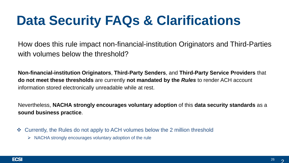How does this rule impact non-financial-institution Originators and Third-Parties with volumes below the threshold?

**Non-financial-institution Originators**, **Third-Party Senders**, and **Third-Party Service Providers** that **do not meet these thresholds** are currently **not mandated by the** *Rules* to render ACH account information stored electronically unreadable while at rest.

Nevertheless, **NACHA strongly encourages voluntary adoption** of this **data security standards** as a **sound business practice**.

- ◆ Currently, the Rules do not apply to ACH volumes below the 2 million threshold
	- $\triangleright$  NACHA strongly encourages voluntary adoption of the rule

 $\mathcal{Q}$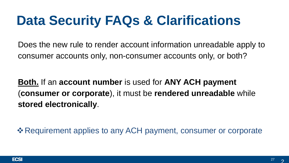Does the new rule to render account information unreadable apply to consumer accounts only, non-consumer accounts only, or both?

**Both.** If an **account number** is used for **ANY ACH payment**  (**consumer or corporate**), it must be **rendered unreadable** while **stored electronically**.

**Examplement applies to any ACH payment, consumer or corporate ↓** 

 $\overline{\mathcal{P}}$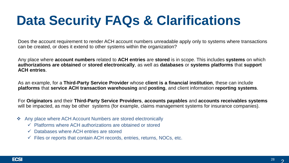Does the account requirement to render ACH account numbers unreadable apply only to systems where transactions can be created, or does it extend to other systems within the organization?

Any place where **account numbers** related to **ACH entries** are **stored** is in scope. This includes **systems** on which **authorizations are obtained** or **stored electronically**, as well as **databases** or **systems platforms** that **support ACH entries**.

As an example, for a **Third-Party Service Provider** whose **client is a financial institution**, these can include **platforms** that **service ACH transaction warehousing** and **posting**, and client information **reporting systems**.

For **Originators** and their **Third-Party Service Providers**, **accounts payables** and **accounts receivables systems** will be impacted, as may be other systems (for example, claims management systems for insurance companies).

- ❖ Any place where ACH Account Numbers are stored electronically
	- $\checkmark$  Platforms where ACH authorizations are obtained or stored
	- $\checkmark$  Databases where ACH entries are stored
	- $\checkmark$  Files or reports that contain ACH records, entries, returns, NOCs, etc.

 $\overline{\mathcal{P}}$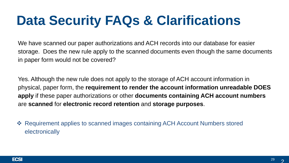We have scanned our paper authorizations and ACH records into our database for easier storage. Does the new rule apply to the scanned documents even though the same documents in paper form would not be covered?

Yes. Although the new rule does not apply to the storage of ACH account information in physical, paper form, the **requirement to render the account information unreadable DOES apply** if these paper authorizations or other **documents containing ACH account numbers**  are **scanned** for **electronic record retention** and **storage purposes**.

 Requirement applies to scanned images containing ACH Account Numbers stored electronically

 $\mathcal{Q}$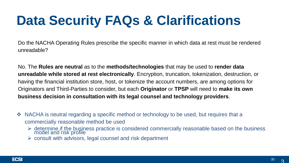Do the NACHA Operating Rules prescribe the specific manner in which data at rest must be rendered unreadable?

No. The **Rules are neutral** as to the **methods/technologies** that may be used to **render data unreadable while stored at rest electronically**. Encryption, truncation, tokenization, destruction, or having the financial institution store, host, or tokenize the account numbers, are among options for Originators and Third-Parties to consider, but each **Originator** or **TPSP** will need to **make its own business decision in consultation with its legal counsel and technology providers**.

- ◆ NACHA is neutral regarding a specific method or technology to be used, but requires that a commercially reasonable method be used
	- $\triangleright$  determine if the business practice is considered commercially reasonable based on the business model and risk profile
	- $\triangleright$  consult with advisors, legal counsel and risk department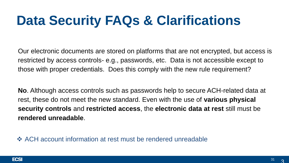Our electronic documents are stored on platforms that are not encrypted, but access is restricted by access controls- e.g., passwords, etc. Data is not accessible except to those with proper credentials. Does this comply with the new rule requirement?

**No**. Although access controls such as passwords help to secure ACH-related data at rest, these do not meet the new standard. Even with the use of **various physical security controls** and **restricted access**, the **electronic data at rest** still must be **rendered unreadable**.

 $\triangle$  **ACH account information at rest must be rendered unreadable** 

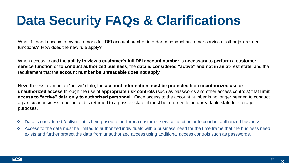What if I need access to my customer's full DFI account number in order to conduct customer service or other job-related functions? How does the new rule apply?

When access to and the **ability to view a customer's full DFI account number** is **necessary to perform a customer service function** or **to conduct authorized business**, the **data is considered "active" and not in an at-rest state**, and the requirement that the **account number be unreadable does not apply**.

Nevertheless, even in an "active" state, the **account information must be protected** from **unauthorized use or unauthorized access** through the use of **appropriate risk controls** (such as passwords and other access controls) that **limit access to "active" data only to authorized personnel**. Once access to the account number is no longer needed to conduct a particular business function and is returned to a passive state, it must be returned to an unreadable state for storage purposes.

- ◆ Data is considered "active" if it is being used to perform a customer service function or to conduct authorized business
- Access to the data must be limited to authorized individuals with a business need for the time frame that the business need exists and further protect the data from unauthorized access using additional access controls such as passwords.

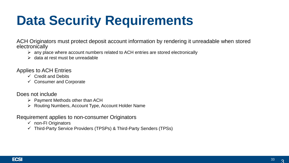# **Data Security Requirements**

ACH Originators must protect deposit account information by rendering it unreadable when stored electronically

- $\triangleright$  any place where account numbers related to ACH entries are stored electronically
- $\triangleright$  data at rest must be unreadable

Applies to ACH Entries

- $\checkmark$  Credit and Debits
- $\checkmark$  Consumer and Corporate

Does not include

- $\triangleright$  Payment Methods other than ACH
- ▶ Routing Numbers, Account Type, Account Holder Name

Requirement applies to non-consumer Originators

- $\checkmark$  non-FI Originators
- $\checkmark$  Third-Party Service Providers (TPSPs) & Third-Party Senders (TPSs)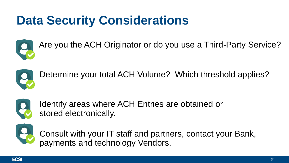### **Data Security Considerations**



Are you the ACH Originator or do you use a Third-Party Service?



Determine your total ACH Volume? Which threshold applies?



Identify areas where ACH Entries are obtained or stored electronically.



Consult with your IT staff and partners, contact your Bank, payments and technology Vendors.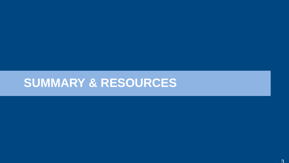#### **SUMMARY & RESOURCES**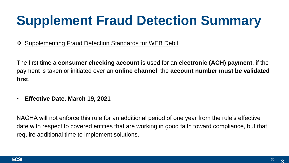# **Supplement Fraud Detection Summary**

❖ Supplementing Fraud Detection Standards for WEB Debit

The first time a **consumer checking account** is used for an **electronic (ACH) payment**, if the payment is taken or initiated over an **online channel**, the **account number must be validated first**.

• **Effective Date**, **March 19, 2021**

NACHA will not enforce this rule for an additional period of one year from the rule's effective date with respect to covered entities that are working in good faith toward compliance, but that require additional time to implement solutions.

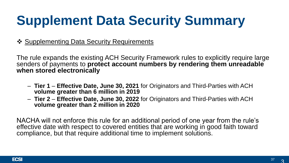# **Supplement Data Security Summary**

❖ Supplementing Data Security Requirements

The rule expands the existing ACH Security Framework rules to explicitly require large senders of payments to **protect account numbers by rendering them unreadable when stored electronically**

- **Tier 1 Effective Date, June 30, 2021** for Originators and Third-Parties with ACH **volume greater than 6 million in 2019**
- **Tier 2 Effective Date, June 30, 2022** for Originators and Third-Parties with ACH **volume greater than 2 million in 2020**

NACHA will not enforce this rule for an additional period of one year from the rule's effective date with respect to covered entities that are working in good faith toward compliance, but that require additional time to implement solutions.

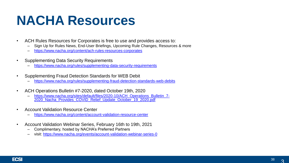### **NACHA Resources**

- ACH Rules Resources for Corporates is free to use and provides access to:
	- Sign Up for Rules News, End-User Briefings, Upcoming Rule Changes, Resources & more
	- <https://www.nacha.org/content/ach-rules-resources-corporates>
- Supplementing Data Security Requirements
	- <https://www.nacha.org/rules/supplementing-data-security-requirements>
- Supplementing Fraud Detection Standards for WEB Debit
	- <https://www.nacha.org/rules/supplementing-fraud-detection-standards-web-debits>
- ACH Operations Bulletin #7-2020, dated October 19th, 2020
	- [https://www.nacha.org/sites/default/files/2020-10/ACH\\_Operations\\_Bulletin\\_7-](https://www.nacha.org/sites/default/files/2020-10/ACH_Operations_Bulletin_7-2020_Nacha_Provides_COVID_Relief_Update_October_19_2020.pdf) 2020\_Nacha\_Provides\_COVID\_Relief\_Update\_October\_19\_2020.pdf
- Account Validation Resource Center
	- <https://www.nacha.org/content/account-validation-resource-center>
- Account Validation Webinar Series, February 16th to 19th, 2021
	- Complimentary, hosted by NACHA's Preferred Partners
	- visit:<https://www.nacha.org/events/account-validation-webinar-series-0>